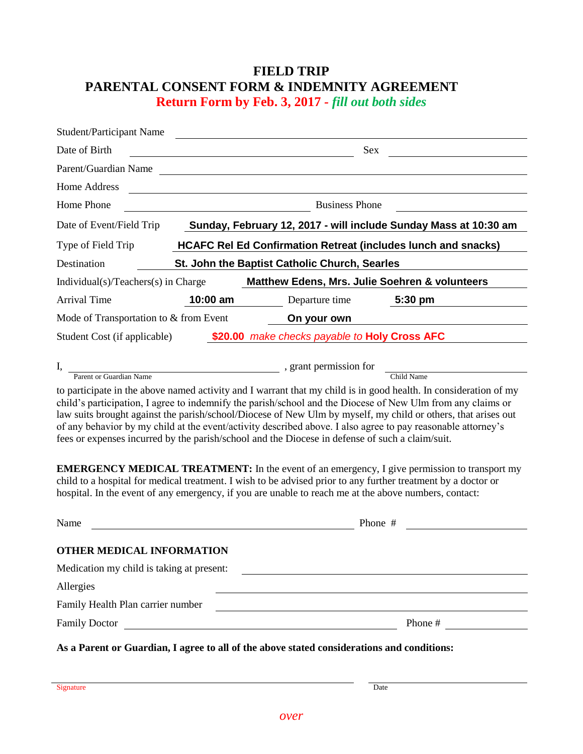## **FIELD TRIP PARENTAL CONSENT FORM & INDEMNITY AGREEMENT Return Form by Feb. 3, 2017** *- fill out both sides*

| <b>Student/Participant Name</b>                                                                                                                                                                                                                                                                                                                                                                                                                                                                                                                                     |                                                                  |                                                                      |            |  |
|---------------------------------------------------------------------------------------------------------------------------------------------------------------------------------------------------------------------------------------------------------------------------------------------------------------------------------------------------------------------------------------------------------------------------------------------------------------------------------------------------------------------------------------------------------------------|------------------------------------------------------------------|----------------------------------------------------------------------|------------|--|
| Date of Birth                                                                                                                                                                                                                                                                                                                                                                                                                                                                                                                                                       |                                                                  | Sex                                                                  |            |  |
| Parent/Guardian Name                                                                                                                                                                                                                                                                                                                                                                                                                                                                                                                                                |                                                                  |                                                                      |            |  |
| <b>Home Address</b>                                                                                                                                                                                                                                                                                                                                                                                                                                                                                                                                                 |                                                                  |                                                                      |            |  |
| Home Phone                                                                                                                                                                                                                                                                                                                                                                                                                                                                                                                                                          | <b>Business Phone</b>                                            |                                                                      |            |  |
| Date of Event/Field Trip                                                                                                                                                                                                                                                                                                                                                                                                                                                                                                                                            | Sunday, February 12, 2017 - will include Sunday Mass at 10:30 am |                                                                      |            |  |
| Type of Field Trip                                                                                                                                                                                                                                                                                                                                                                                                                                                                                                                                                  |                                                                  | <b>HCAFC Rel Ed Confirmation Retreat (includes lunch and snacks)</b> |            |  |
| Destination                                                                                                                                                                                                                                                                                                                                                                                                                                                                                                                                                         |                                                                  | St. John the Baptist Catholic Church, Searles                        |            |  |
| Matthew Edens, Mrs. Julie Soehren & volunteers<br>$Individual(s)/Teaches(s)$ in Charge                                                                                                                                                                                                                                                                                                                                                                                                                                                                              |                                                                  |                                                                      |            |  |
| <b>Arrival Time</b>                                                                                                                                                                                                                                                                                                                                                                                                                                                                                                                                                 | $10:00$ am                                                       | Departure time                                                       | 5:30 pm    |  |
| Mode of Transportation to & from Event<br>On your own                                                                                                                                                                                                                                                                                                                                                                                                                                                                                                               |                                                                  |                                                                      |            |  |
| make checks payable to Holy Cross AFC<br>\$20.00<br>Student Cost (if applicable)                                                                                                                                                                                                                                                                                                                                                                                                                                                                                    |                                                                  |                                                                      |            |  |
| I,                                                                                                                                                                                                                                                                                                                                                                                                                                                                                                                                                                  |                                                                  | , grant permission for                                               |            |  |
| Parent or Guardian Name                                                                                                                                                                                                                                                                                                                                                                                                                                                                                                                                             |                                                                  |                                                                      | Child Name |  |
| to participate in the above named activity and I warrant that my child is in good health. In consideration of my<br>child's participation, I agree to indemnify the parish/school and the Diocese of New Ulm from any claims or<br>law suits brought against the parish/school/Diocese of New Ulm by myself, my child or others, that arises out<br>of any behavior by my child at the event/activity described above. I also agree to pay reasonable attorney's<br>fees or expenses incurred by the parish/school and the Diocese in defense of such a claim/suit. |                                                                  |                                                                      |            |  |
| <b>EMERGENCY MEDICAL TREATMENT:</b> In the event of an emergency, I give permission to transport my<br>child to a hospital for medical treatment. I wish to be advised prior to any further treatment by a doctor or<br>hospital. In the event of any emergency, if you are unable to reach me at the above numbers, contact:                                                                                                                                                                                                                                       |                                                                  |                                                                      |            |  |

| Name                                                                                       | Phone $#$ |
|--------------------------------------------------------------------------------------------|-----------|
| OTHER MEDICAL INFORMATION                                                                  |           |
| Medication my child is taking at present:                                                  |           |
| Allergies                                                                                  |           |
| Family Health Plan carrier number                                                          |           |
| <b>Family Doctor</b>                                                                       | Phone #   |
| As a Parent or Guardian, I agree to all of the above stated considerations and conditions: |           |

Signature Date **Date** Date of the Contract of the Contract of the Contract of the Contract of the Contract of the Contract of the Contract of the Contract of the Contract of the Contract of the Contract of the Contract of